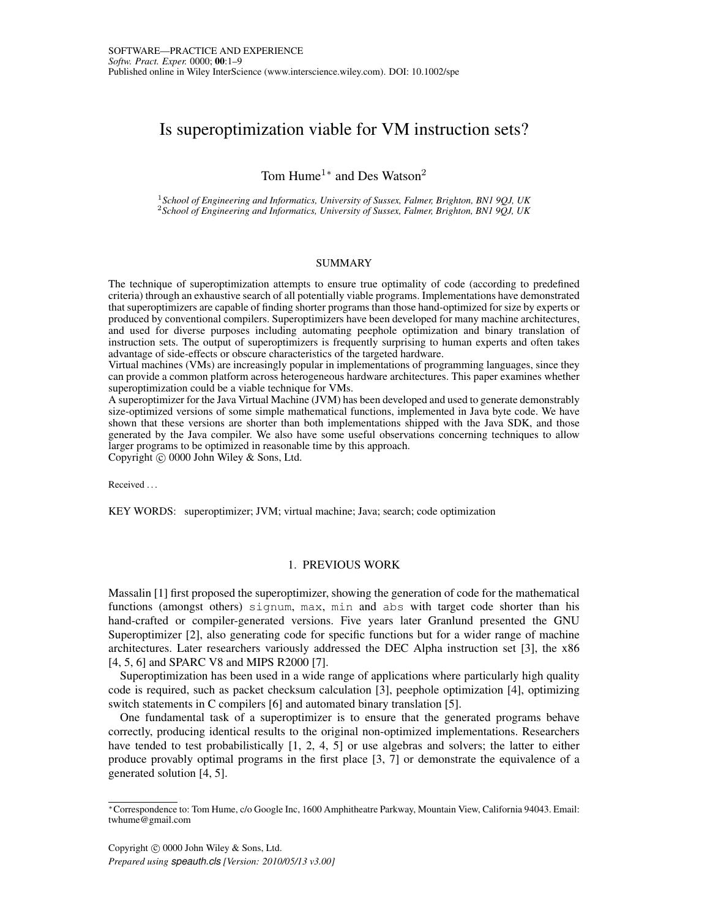# Is superoptimization viable for VM instruction sets?

Tom Hume<sup>1∗</sup> and Des Watson<sup>2</sup>

<sup>1</sup>*School of Engineering and Informatics, University of Sussex, Falmer, Brighton, BN1 9QJ, UK* <sup>2</sup>*School of Engineering and Informatics, University of Sussex, Falmer, Brighton, BN1 9QJ, UK*

#### SUMMARY

The technique of superoptimization attempts to ensure true optimality of code (according to predefined criteria) through an exhaustive search of all potentially viable programs. Implementations have demonstrated that superoptimizers are capable of finding shorter programs than those hand-optimized for size by experts or produced by conventional compilers. Superoptimizers have been developed for many machine architectures, and used for diverse purposes including automating peephole optimization and binary translation of instruction sets. The output of superoptimizers is frequently surprising to human experts and often takes advantage of side-effects or obscure characteristics of the targeted hardware.

Virtual machines (VMs) are increasingly popular in implementations of programming languages, since they can provide a common platform across heterogeneous hardware architectures. This paper examines whether superoptimization could be a viable technique for VMs.

A superoptimizer for the Java Virtual Machine (JVM) has been developed and used to generate demonstrably size-optimized versions of some simple mathematical functions, implemented in Java byte code. We have shown that these versions are shorter than both implementations shipped with the Java SDK, and those generated by the Java compiler. We also have some useful observations concerning techniques to allow larger programs to be optimized in reasonable time by this approach.

Copyright © 0000 John Wiley & Sons, Ltd.

Received . . .

KEY WORDS: superoptimizer; JVM; virtual machine; Java; search; code optimization

### 1. PREVIOUS WORK

Massalin [1] first proposed the superoptimizer, showing the generation of code for the mathematical functions (amongst others) signum, max, min and abs with target code shorter than his hand-crafted or compiler-generated versions. Five years later Granlund presented the GNU Superoptimizer [2], also generating code for specific functions but for a wider range of machine architectures. Later researchers variously addressed the DEC Alpha instruction set [3], the x86 [4, 5, 6] and SPARC V8 and MIPS R2000 [7].

Superoptimization has been used in a wide range of applications where particularly high quality code is required, such as packet checksum calculation [3], peephole optimization [4], optimizing switch statements in C compilers [6] and automated binary translation [5].

One fundamental task of a superoptimizer is to ensure that the generated programs behave correctly, producing identical results to the original non-optimized implementations. Researchers have tended to test probabilistically [1, 2, 4, 5] or use algebras and solvers; the latter to either produce provably optimal programs in the first place [3, 7] or demonstrate the equivalence of a generated solution [4, 5].

Copyright  $\odot$  0000 John Wiley & Sons, Ltd.

*Prepared using speauth.cls [Version: 2010/05/13 v3.00]*

<sup>∗</sup>Correspondence to: Tom Hume, c/o Google Inc, 1600 Amphitheatre Parkway, Mountain View, California 94043. Email: twhume@gmail.com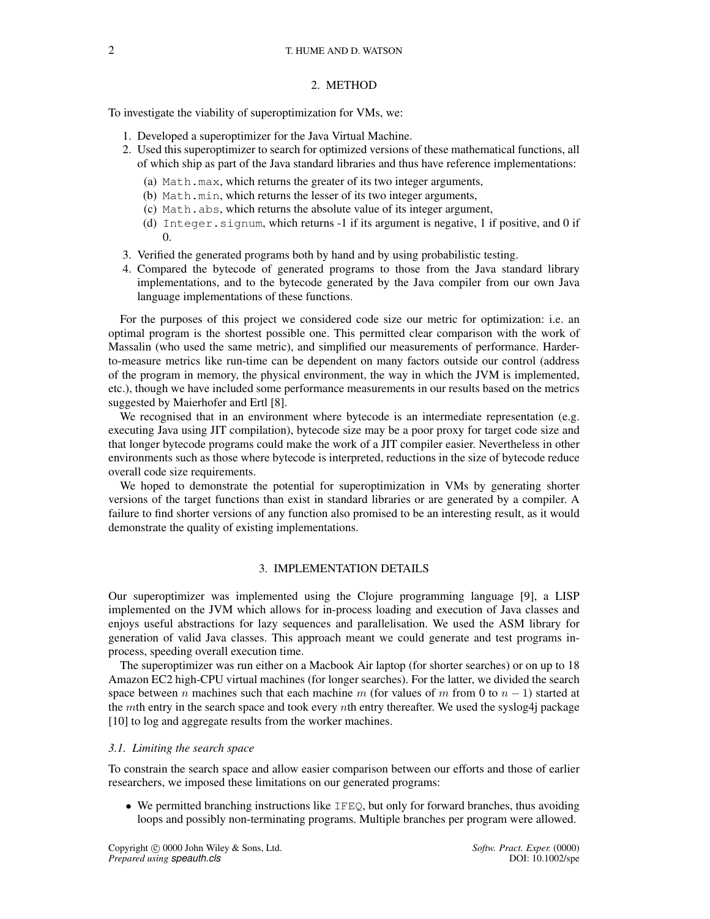### 2. METHOD

To investigate the viability of superoptimization for VMs, we:

- 1. Developed a superoptimizer for the Java Virtual Machine.
- 2. Used this superoptimizer to search for optimized versions of these mathematical functions, all of which ship as part of the Java standard libraries and thus have reference implementations:
	- (a) Math.max, which returns the greater of its two integer arguments,
	- (b) Math.min, which returns the lesser of its two integer arguments,
	- (c) Math.abs, which returns the absolute value of its integer argument,
	- (d) Integer.signum, which returns -1 if its argument is negative, 1 if positive, and 0 if  $\Omega$
- 3. Verified the generated programs both by hand and by using probabilistic testing.
- 4. Compared the bytecode of generated programs to those from the Java standard library implementations, and to the bytecode generated by the Java compiler from our own Java language implementations of these functions.

For the purposes of this project we considered code size our metric for optimization: i.e. an optimal program is the shortest possible one. This permitted clear comparison with the work of Massalin (who used the same metric), and simplified our measurements of performance. Harderto-measure metrics like run-time can be dependent on many factors outside our control (address of the program in memory, the physical environment, the way in which the JVM is implemented, etc.), though we have included some performance measurements in our results based on the metrics suggested by Maierhofer and Ertl [8].

We recognised that in an environment where bytecode is an intermediate representation (e.g. executing Java using JIT compilation), bytecode size may be a poor proxy for target code size and that longer bytecode programs could make the work of a JIT compiler easier. Nevertheless in other environments such as those where bytecode is interpreted, reductions in the size of bytecode reduce overall code size requirements.

We hoped to demonstrate the potential for superoptimization in VMs by generating shorter versions of the target functions than exist in standard libraries or are generated by a compiler. A failure to find shorter versions of any function also promised to be an interesting result, as it would demonstrate the quality of existing implementations.

# 3. IMPLEMENTATION DETAILS

Our superoptimizer was implemented using the Clojure programming language [9], a LISP implemented on the JVM which allows for in-process loading and execution of Java classes and enjoys useful abstractions for lazy sequences and parallelisation. We used the ASM library for generation of valid Java classes. This approach meant we could generate and test programs inprocess, speeding overall execution time.

The superoptimizer was run either on a Macbook Air laptop (for shorter searches) or on up to 18 Amazon EC2 high-CPU virtual machines (for longer searches). For the latter, we divided the search space between n machines such that each machine m (for values of m from 0 to  $n - 1$ ) started at the mth entry in the search space and took every nth entry thereafter. We used the syslog4j package [10] to log and aggregate results from the worker machines.

### *3.1. Limiting the search space*

To constrain the search space and allow easier comparison between our efforts and those of earlier researchers, we imposed these limitations on our generated programs:

• We permitted branching instructions like  $IFEQ$ , but only for forward branches, thus avoiding loops and possibly non-terminating programs. Multiple branches per program were allowed.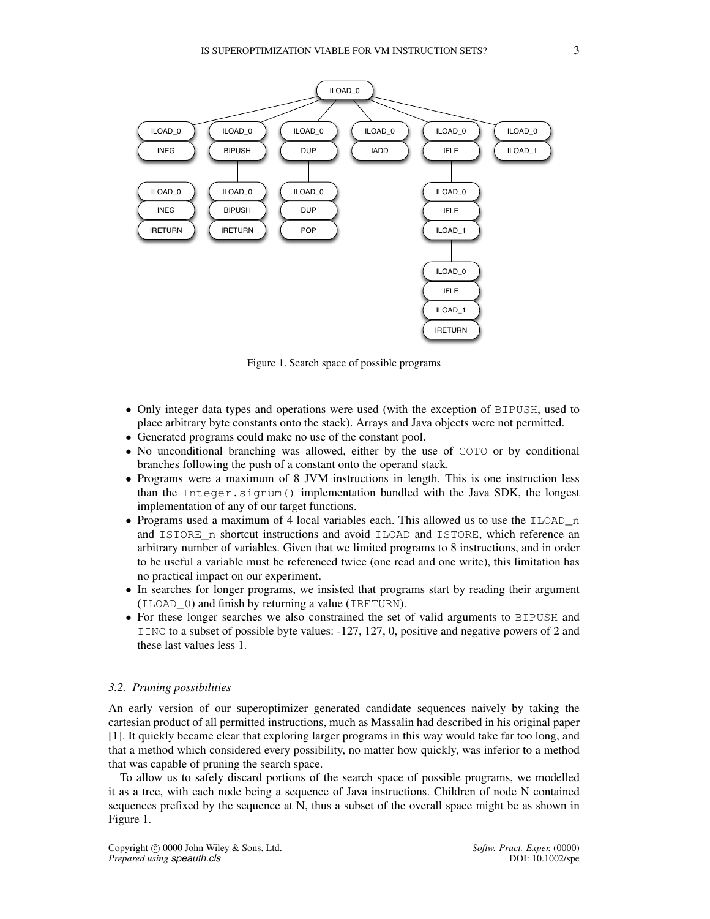

Figure 1. Search space of possible programs

- Only integer data types and operations were used (with the exception of BIPUSH, used to place arbitrary byte constants onto the stack). Arrays and Java objects were not permitted.
- Generated programs could make no use of the constant pool.
- No unconditional branching was allowed, either by the use of GOTO or by conditional branches following the push of a constant onto the operand stack.
- Programs were a maximum of 8 JVM instructions in length. This is one instruction less than the Integer.signum() implementation bundled with the Java SDK, the longest implementation of any of our target functions.
- Programs used a maximum of 4 local variables each. This allowed us to use the  $ILOAD^-n$ and ISTORE\_n shortcut instructions and avoid ILOAD and ISTORE, which reference an arbitrary number of variables. Given that we limited programs to 8 instructions, and in order to be useful a variable must be referenced twice (one read and one write), this limitation has no practical impact on our experiment.
- In searches for longer programs, we insisted that programs start by reading their argument (ILOAD\_0) and finish by returning a value (IRETURN).
- For these longer searches we also constrained the set of valid arguments to BIPUSH and IINC to a subset of possible byte values: -127, 127, 0, positive and negative powers of 2 and these last values less 1.

#### *3.2. Pruning possibilities*

An early version of our superoptimizer generated candidate sequences naively by taking the cartesian product of all permitted instructions, much as Massalin had described in his original paper [1]. It quickly became clear that exploring larger programs in this way would take far too long, and that a method which considered every possibility, no matter how quickly, was inferior to a method that was capable of pruning the search space.

To allow us to safely discard portions of the search space of possible programs, we modelled it as a tree, with each node being a sequence of Java instructions. Children of node N contained sequences prefixed by the sequence at N, thus a subset of the overall space might be as shown in Figure 1.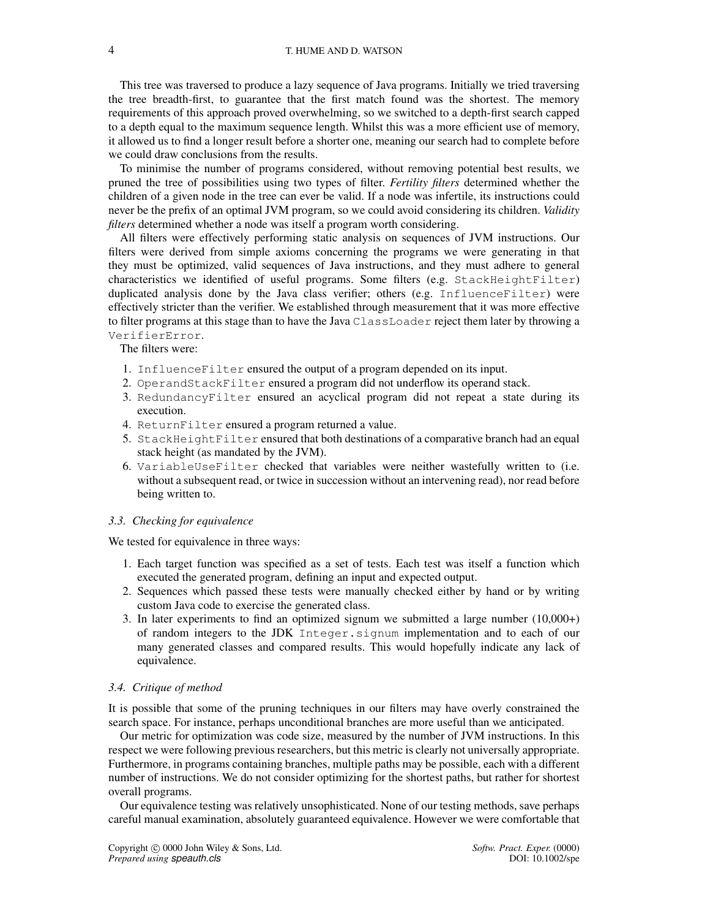This tree was traversed to produce a lazy sequence of Java programs. Initially we tried traversing the tree breadth-first, to guarantee that the first match found was the shortest. The memory requirements of this approach proved overwhelming, so we switched to a depth-first search capped to a depth equal to the maximum sequence length. Whilst this was a more efficient use of memory, it allowed us to find a longer result before a shorter one, meaning our search had to complete before we could draw conclusions from the results.

To minimise the number of programs considered, without removing potential best results, we pruned the tree of possibilities using two types of filter. *Fertility filters* determined whether the children of a given node in the tree can ever be valid. If a node was infertile, its instructions could never be the prefix of an optimal JVM program, so we could avoid considering its children. *Validity filters* determined whether a node was itself a program worth considering.

All filters were effectively performing static analysis on sequences of JVM instructions. Our filters were derived from simple axioms concerning the programs we were generating in that they must be optimized, valid sequences of Java instructions, and they must adhere to general characteristics we identified of useful programs. Some filters (e.g. StackHeightFilter) duplicated analysis done by the Java class verifier; others (e.g. InfluenceFilter) were effectively stricter than the verifier. We established through measurement that it was more effective to filter programs at this stage than to have the Java ClassLoader reject them later by throwing a VerifierError.

The filters were:

- 1. InfluenceFilter ensured the output of a program depended on its input.
- 2. OperandStackFilter ensured a program did not underflow its operand stack.
- 3. RedundancyFilter ensured an acyclical program did not repeat a state during its execution.
- 4. ReturnFilter ensured a program returned a value.
- 5. StackHeightFilter ensured that both destinations of a comparative branch had an equal stack height (as mandated by the JVM).
- 6. VariableUseFilter checked that variables were neither wastefully written to (i.e. without a subsequent read, or twice in succession without an intervening read), nor read before being written to.

#### *3.3. Checking for equivalence*

We tested for equivalence in three ways:

- 1. Each target function was specified as a set of tests. Each test was itself a function which executed the generated program, defining an input and expected output.
- 2. Sequences which passed these tests were manually checked either by hand or by writing custom Java code to exercise the generated class.
- 3. In later experiments to find an optimized signum we submitted a large number (10,000+) of random integers to the JDK Integer.signum implementation and to each of our many generated classes and compared results. This would hopefully indicate any lack of equivalence.

#### *3.4. Critique of method*

It is possible that some of the pruning techniques in our filters may have overly constrained the search space. For instance, perhaps unconditional branches are more useful than we anticipated.

Our metric for optimization was code size, measured by the number of JVM instructions. In this respect we were following previous researchers, but this metric is clearly not universally appropriate. Furthermore, in programs containing branches, multiple paths may be possible, each with a different number of instructions. We do not consider optimizing for the shortest paths, but rather for shortest overall programs.

Our equivalence testing was relatively unsophisticated. None of our testing methods, save perhaps careful manual examination, absolutely guaranteed equivalence. However we were comfortable that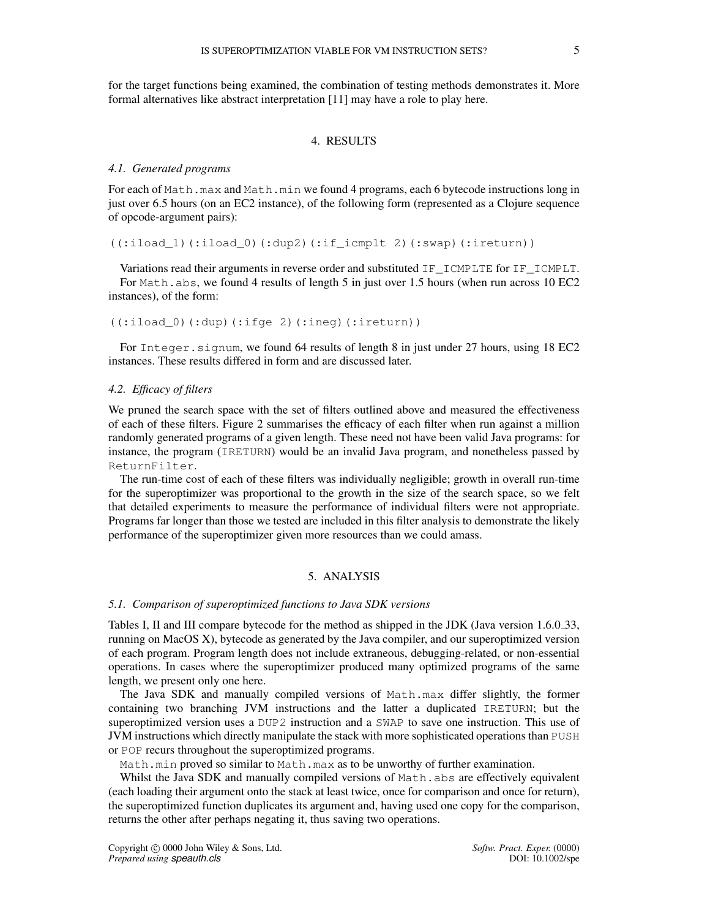for the target functions being examined, the combination of testing methods demonstrates it. More formal alternatives like abstract interpretation [11] may have a role to play here.

# 4. RESULTS

#### *4.1. Generated programs*

For each of Math.max and Math.min we found 4 programs, each 6 bytecode instructions long in just over 6.5 hours (on an EC2 instance), of the following form (represented as a Clojure sequence of opcode-argument pairs):

((:iload\_1)(:iload\_0)(:dup2)(:if\_icmplt 2)(:swap)(:ireturn))

Variations read their arguments in reverse order and substituted IF\_ICMPLTE for IF\_ICMPLT. For Math.abs, we found 4 results of length 5 in just over 1.5 hours (when run across 10 EC2 instances), of the form:

 $((:iload 0)(:dup)(:ifqe 2)(:ineq)(:ireturn))$ 

For Integer.signum, we found 64 results of length 8 in just under 27 hours, using 18 EC2 instances. These results differed in form and are discussed later.

## *4.2. Efficacy of filters*

We pruned the search space with the set of filters outlined above and measured the effectiveness of each of these filters. Figure 2 summarises the efficacy of each filter when run against a million randomly generated programs of a given length. These need not have been valid Java programs: for instance, the program (IRETURN) would be an invalid Java program, and nonetheless passed by ReturnFilter.

The run-time cost of each of these filters was individually negligible; growth in overall run-time for the superoptimizer was proportional to the growth in the size of the search space, so we felt that detailed experiments to measure the performance of individual filters were not appropriate. Programs far longer than those we tested are included in this filter analysis to demonstrate the likely performance of the superoptimizer given more resources than we could amass.

# 5. ANALYSIS

#### *5.1. Comparison of superoptimized functions to Java SDK versions*

Tables I, II and III compare bytecode for the method as shipped in the JDK (Java version 1.6.0.33, running on MacOS X), bytecode as generated by the Java compiler, and our superoptimized version of each program. Program length does not include extraneous, debugging-related, or non-essential operations. In cases where the superoptimizer produced many optimized programs of the same length, we present only one here.

The Java SDK and manually compiled versions of Math.max differ slightly, the former containing two branching JVM instructions and the latter a duplicated IRETURN; but the superoptimized version uses a DUP2 instruction and a SWAP to save one instruction. This use of JVM instructions which directly manipulate the stack with more sophisticated operations than PUSH or POP recurs throughout the superoptimized programs.

Math.min proved so similar to Math.max as to be unworthy of further examination.

Whilst the Java SDK and manually compiled versions of Math.abs are effectively equivalent (each loading their argument onto the stack at least twice, once for comparison and once for return), the superoptimized function duplicates its argument and, having used one copy for the comparison, returns the other after perhaps negating it, thus saving two operations.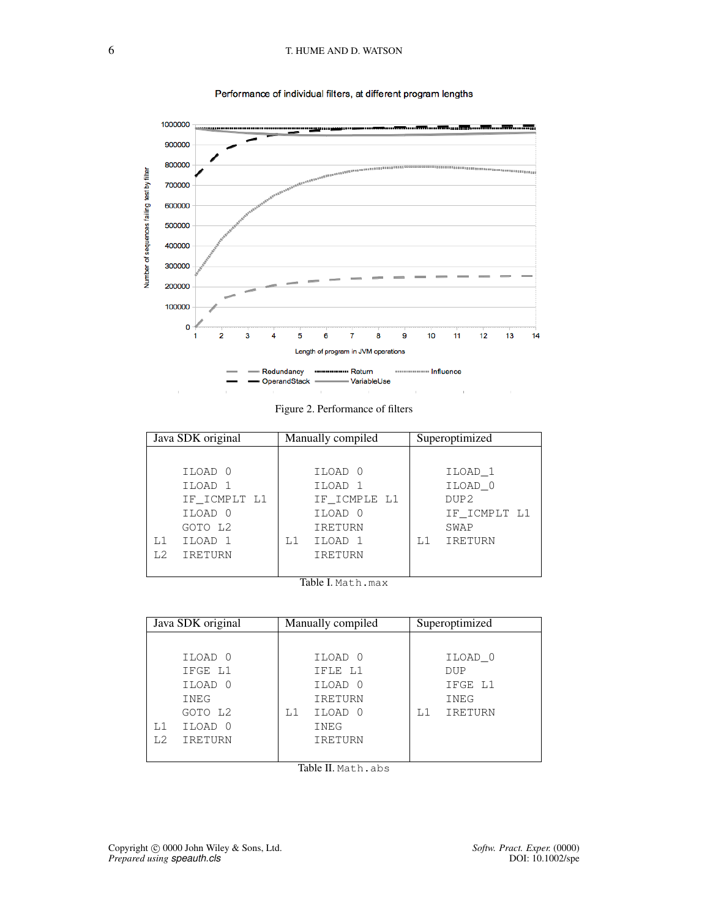# 6 T. HUME AND D. WATSON



### Performance of individual filters, at different program lengths

Figure 2. Performance of filters

| Java SDK original         |    | Manually compiled |    | Superoptimized   |
|---------------------------|----|-------------------|----|------------------|
|                           |    |                   |    |                  |
| ILOAD 0                   |    | ILOAD 0           |    | ILOAD 1          |
| ILOAD 1                   |    | ILOAD 1           |    | ILOAD 0          |
| IF_ICMPLT L1              |    | IF ICMPLE L1      |    | DUP <sub>2</sub> |
| ILOAD 0                   |    | ILOAD 0           |    | IF ICMPLT L1     |
| GOTO L2                   |    | <b>IRETURN</b>    |    | SWAP             |
| ILOAD 1<br>L1             | L1 | ILOAD 1           | L1 | IRETURN          |
| IRETURN<br>L <sub>2</sub> |    | <b>IRETURN</b>    |    |                  |
|                           |    |                   |    |                  |

Table I. Math.max

| Java SDK original                |    | Manually compiled |    | Superoptimized |
|----------------------------------|----|-------------------|----|----------------|
|                                  |    |                   |    |                |
| ILOAD 0                          |    | ILOAD 0           |    | ILOAD 0        |
| IFGE L1                          |    | IFLE L1           |    | <b>DUP</b>     |
| ILOAD 0                          |    | ILOAD 0           |    | IFGE L1        |
| <b>INEG</b>                      |    | <b>IRETURN</b>    |    | INEG           |
| GOTO L2                          | L1 | ILOAD 0           | L1 | IRETURN        |
| ILOAD 0<br>L1                    |    | INEG              |    |                |
| L <sub>2</sub><br><b>IRETURN</b> |    | <b>IRETURN</b>    |    |                |
|                                  |    |                   |    |                |

Table II. Math.abs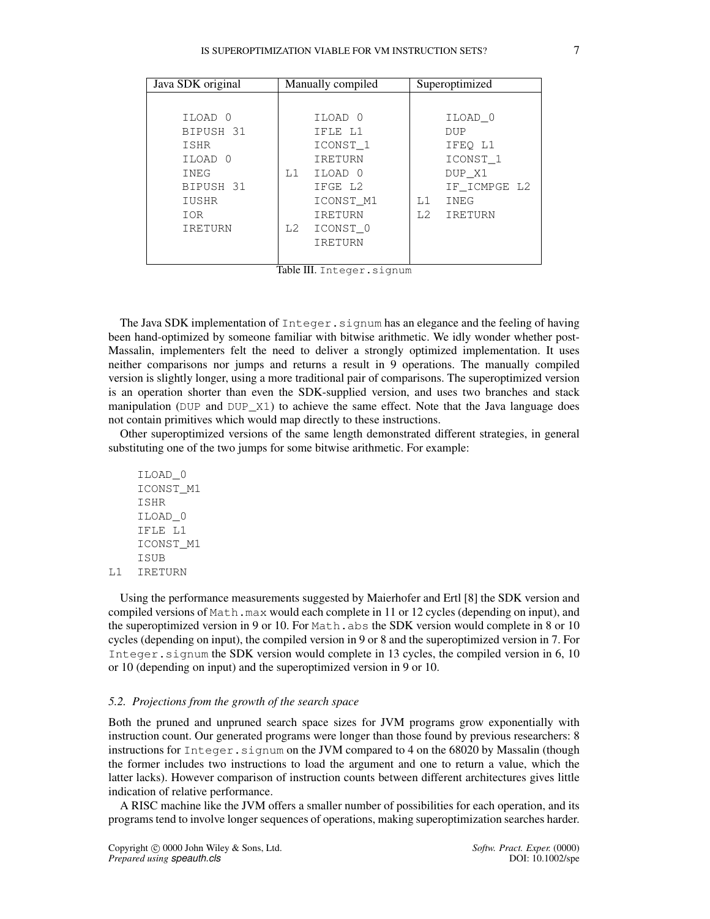# IS SUPEROPTIMIZATION VIABLE FOR VM INSTRUCTION SETS? 7

| Java SDK original |    | Manually compiled   |    | Superoptimized      |
|-------------------|----|---------------------|----|---------------------|
|                   |    |                     |    |                     |
| ILOAD 0           |    | ILOAD 0             |    | ILOAD 0             |
| BIPUSH 31         |    | IFLE L1             |    | <b>DUP</b>          |
| ISHR              |    | ICONST <sub>1</sub> |    | IFEO L1             |
| ILOAD 0           |    | <b>IRETURN</b>      |    | ICONST <sub>1</sub> |
| <b>INEG</b>       | L1 | ILOAD 0             |    | DUP X1              |
| BIPUSH 31         |    | IFGE L2             |    | IF ICMPGE L2        |
| IUSHR             |    | ICONST M1           | L1 | INEG                |
| IOR               |    | <b>IRETURN</b>      | L2 | IRETURN             |
| <b>IRETURN</b>    | L2 | ICONST 0            |    |                     |
|                   |    | <b>IRETURN</b>      |    |                     |
|                   |    |                     |    |                     |

Table III. Integer.signum

The Java SDK implementation of Integer.signum has an elegance and the feeling of having been hand-optimized by someone familiar with bitwise arithmetic. We idly wonder whether post-Massalin, implementers felt the need to deliver a strongly optimized implementation. It uses neither comparisons nor jumps and returns a result in 9 operations. The manually compiled version is slightly longer, using a more traditional pair of comparisons. The superoptimized version is an operation shorter than even the SDK-supplied version, and uses two branches and stack manipulation (DUP and DUP $_{\perp}$ X1) to achieve the same effect. Note that the Java language does not contain primitives which would map directly to these instructions.

Other superoptimized versions of the same length demonstrated different strategies, in general substituting one of the two jumps for some bitwise arithmetic. For example:

ILOAD\_0 ICONST\_M1 ISHR ILOAD\_0 IFLE L1 ICONST\_M1 **TSUB** L1 IRETURN

Using the performance measurements suggested by Maierhofer and Ertl [8] the SDK version and compiled versions of Math.max would each complete in 11 or 12 cycles (depending on input), and the superoptimized version in 9 or 10. For Math. abs the SDK version would complete in 8 or 10 cycles (depending on input), the compiled version in 9 or 8 and the superoptimized version in 7. For Integer.signum the SDK version would complete in 13 cycles, the compiled version in 6, 10 or 10 (depending on input) and the superoptimized version in 9 or 10.

### *5.2. Projections from the growth of the search space*

Both the pruned and unpruned search space sizes for JVM programs grow exponentially with instruction count. Our generated programs were longer than those found by previous researchers: 8 instructions for Integer.signum on the JVM compared to 4 on the 68020 by Massalin (though the former includes two instructions to load the argument and one to return a value, which the latter lacks). However comparison of instruction counts between different architectures gives little indication of relative performance.

A RISC machine like the JVM offers a smaller number of possibilities for each operation, and its programs tend to involve longer sequences of operations, making superoptimization searches harder.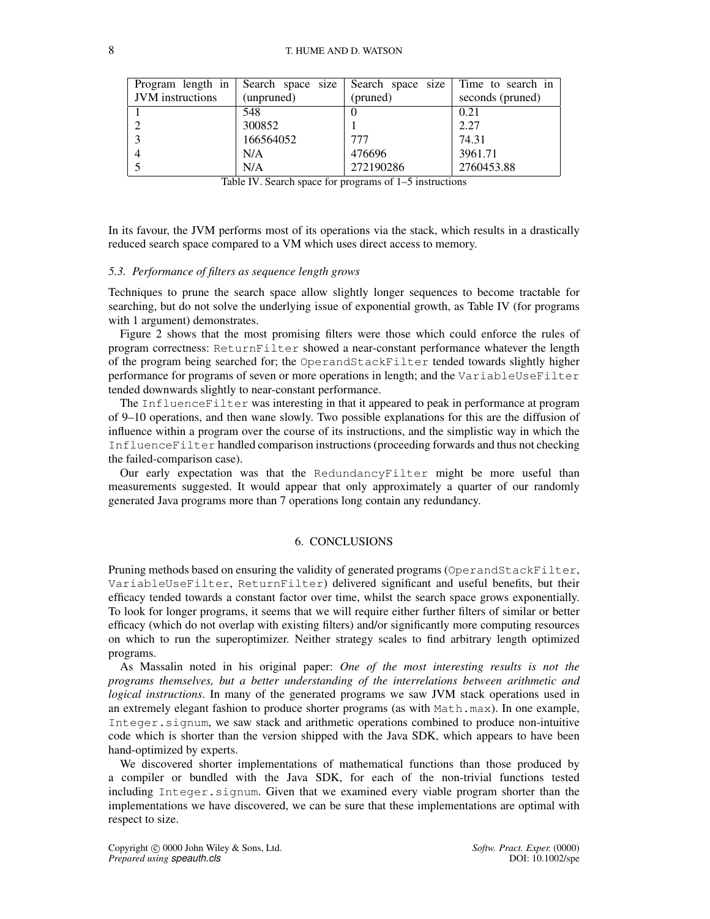| Program length in $\vert$ |            | Search space size Search space size Time to search in |                  |
|---------------------------|------------|-------------------------------------------------------|------------------|
| <b>JVM</b> instructions   | (unpruned) | (pruned)                                              | seconds (pruned) |
|                           | 548        |                                                       | 0.21             |
|                           | 300852     |                                                       | 2.27             |
|                           | 166564052  | 777                                                   | 74.31            |
|                           | N/A        | 476696                                                | 3961.71          |
|                           | N/A        | 272190286                                             | 2760453.88       |

|  | Table IV. Search space for programs of 1–5 instructions |
|--|---------------------------------------------------------|
|--|---------------------------------------------------------|

In its favour, the JVM performs most of its operations via the stack, which results in a drastically reduced search space compared to a VM which uses direct access to memory.

#### *5.3. Performance of filters as sequence length grows*

Techniques to prune the search space allow slightly longer sequences to become tractable for searching, but do not solve the underlying issue of exponential growth, as Table IV (for programs with 1 argument) demonstrates.

Figure 2 shows that the most promising filters were those which could enforce the rules of program correctness: ReturnFilter showed a near-constant performance whatever the length of the program being searched for; the OperandStackFilter tended towards slightly higher performance for programs of seven or more operations in length; and the VariableUseFilter tended downwards slightly to near-constant performance.

The InfluenceFilter was interesting in that it appeared to peak in performance at program of 9–10 operations, and then wane slowly. Two possible explanations for this are the diffusion of influence within a program over the course of its instructions, and the simplistic way in which the InfluenceFilter handled comparison instructions (proceeding forwards and thus not checking the failed-comparison case).

Our early expectation was that the RedundancyFilter might be more useful than measurements suggested. It would appear that only approximately a quarter of our randomly generated Java programs more than 7 operations long contain any redundancy.

### 6. CONCLUSIONS

Pruning methods based on ensuring the validity of generated programs (OperandStackFilter, VariableUseFilter, ReturnFilter) delivered significant and useful benefits, but their efficacy tended towards a constant factor over time, whilst the search space grows exponentially. To look for longer programs, it seems that we will require either further filters of similar or better efficacy (which do not overlap with existing filters) and/or significantly more computing resources on which to run the superoptimizer. Neither strategy scales to find arbitrary length optimized programs.

As Massalin noted in his original paper: *One of the most interesting results is not the programs themselves, but a better understanding of the interrelations between arithmetic and logical instructions*. In many of the generated programs we saw JVM stack operations used in an extremely elegant fashion to produce shorter programs (as with Math.max). In one example, Integer.signum, we saw stack and arithmetic operations combined to produce non-intuitive code which is shorter than the version shipped with the Java SDK, which appears to have been hand-optimized by experts.

We discovered shorter implementations of mathematical functions than those produced by a compiler or bundled with the Java SDK, for each of the non-trivial functions tested including Integer.signum. Given that we examined every viable program shorter than the implementations we have discovered, we can be sure that these implementations are optimal with respect to size.